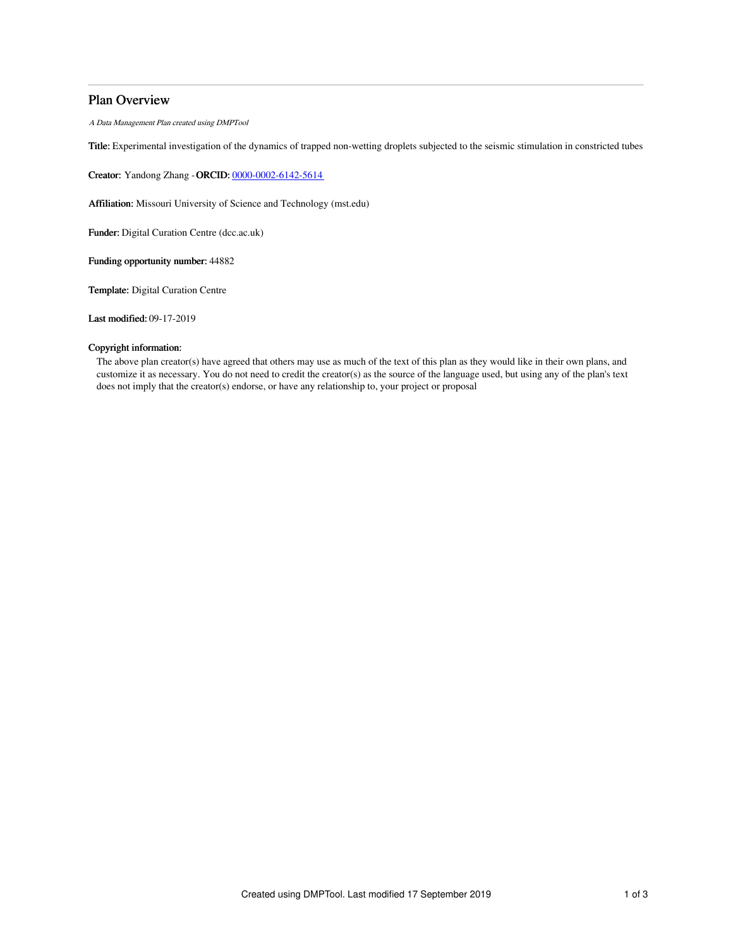# Plan Overview

A Data Management Plan created using DMPTool

Title: Experimental investigation of the dynamics of trapped non-wetting droplets subjected to the seismic stimulation in constricted tubes

Creator: Yandong Zhang -ORCID: [0000-0002-6142-5614](https://orcid.org/0000-0002-6142-5614)

Affiliation: Missouri University of Science and Technology (mst.edu)

Funder: Digital Curation Centre (dcc.ac.uk)

Funding opportunity number: 44882

Template: Digital Curation Centre

Last modified: 09-17-2019

# Copyright information:

The above plan creator(s) have agreed that others may use as much of the text of this plan as they would like in their own plans, and customize it as necessary. You do not need to credit the creator(s) as the source of the language used, but using any of the plan's text does not imply that the creator(s) endorse, or have any relationship to, your project or proposal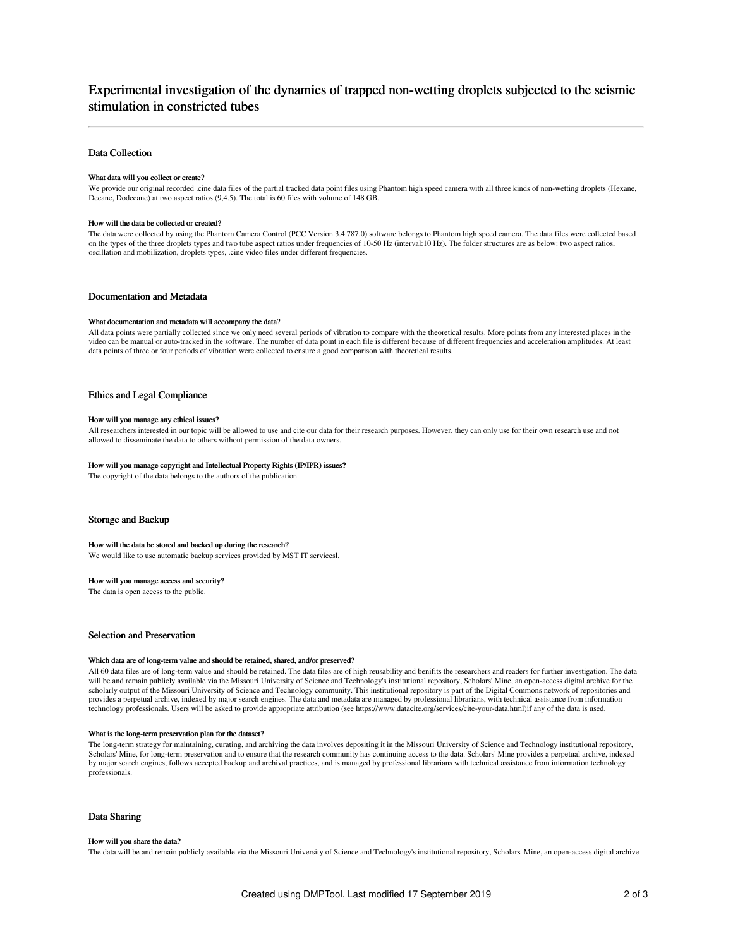# Experimental investigation of the dynamics of trapped non-wetting droplets subjected to the seismic stimulation in constricted tubes

## Data Collection

## What data will you collect or create?

We provide our original recorded .cine data files of the partial tracked data point files using Phantom high speed camera with all three kinds of non-wetting droplets (Hexane, Decane, Dodecane) at two aspect ratios (9,4.5). The total is 60 files with volume of 148 GB.

#### How will the data be collected or created?

The data were collected by using the Phantom Camera Control (PCC Version 3.4.787.0) software belongs to Phantom high speed camera. The data files were collected based on the types of the three droplets types and two tube aspect ratios under frequencies of 10-50 Hz (interval:10 Hz). The folder structures are as below: two aspect ratios, oscillation and mobilization, droplets types, .cine video files under different frequencies.

#### Documentation and Metadata

#### What documentation and metadata will accompany the data?

All data points were partially collected since we only need several periods of vibration to compare with the theoretical results. More points from any interested places in the video can be manual or auto-tracked in the software. The number of data point in each file is different because of different frequencies and acceleration amplitudes. At least data points of three or four periods of vibration were collected to ensure a good comparison with theoretical results.

# Ethics and Legal Compliance

### How will you manage any ethical issues?

All researchers interested in our topic will be allowed to use and cite our data for their research purposes. However, they can only use for their own research use and not allowed to disseminate the data to others without permission of the data owners.

#### How will you manage copyright and Intellectual Property Rights (IP/IPR) issues?

The copyright of the data belongs to the authors of the publication.

## Storage and Backup

## How will the data be stored and backed up during the research?

We would like to use automatic backup services provided by MST IT servicesl.

### How will you manage access and security?

The data is open access to the public.

# Selection and Preservation

#### Which data are of long-term value and should be retained, shared, and/or preserved?

All 60 data files are of long-term value and should be retained. The data files are of high reusability and benifits the researchers and readers for further investigation. The data will be and remain publicly available via the Missouri University of Science and Technology's institutional repository, Scholars' Mine, an open-access digital archive for the scholarly output of the Missouri University of Science and Technology community. This institutional repository is part of the Digital Commons network of repositories and provides a perpetual archive, indexed by major search engines. The data and metadata are managed by professional librarians, with technical assistance from information technology professionals. Users will be asked to provide appropriate attribution (see https://www.datacite.org/services/cite-your-data.html)if any of the data is used.

#### What is the long-term preservation plan for the dataset?

The long-term strategy for maintaining, curating, and archiving the data involves depositing it in the Missouri University of Science and Technology institutional repository, Scholars' Mine, for long-term preservation and to ensure that the research community has continuing access to the data. Scholars' Mine provides a perpetual archive, indexed by major search engines, follows accepted backup and archival practices, and is managed by professional librarians with technical assistance from information technology professionals.

## Data Sharing

#### How will you share the data?

The data will be and remain publicly available via the Missouri University of Science and Technology's institutional repository, Scholars' Mine, an open-access digital archive